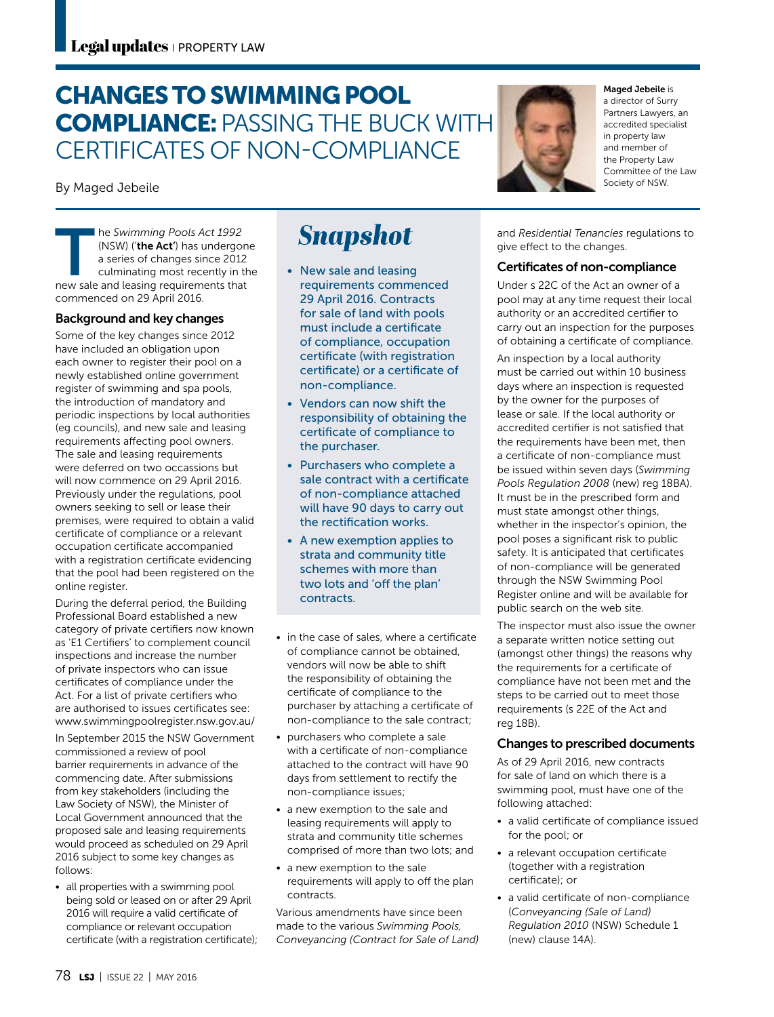## CHANGES TO SWIMMING POOL COMPLIANCE: PASSING THE BUCK WITH CERTIFICATES OF NON-COMPLIANCE

By Maged Jebeile

**The Swimming Pools Act 1992**<br>
(NSW) (**'the Act'**) has undergon<br>
a series of changes since 2012<br>
culminating most recently in th<br>
new sale and leasing requirements that (NSW) ('the Act') has undergone a series of changes since 2012 culminating most recently in the commenced on 29 April 2016.

#### Background and key changes

Some of the key changes since 2012 have included an obligation upon each owner to register their pool on a newly established online government register of swimming and spa pools, the introduction of mandatory and periodic inspections by local authorities (eg councils), and new sale and leasing requirements affecting pool owners. The sale and leasing requirements were deferred on two occassions but will now commence on 29 April 2016. Previously under the regulations, pool owners seeking to sell or lease their premises, were required to obtain a valid certificate of compliance or a relevant occupation certificate accompanied with a registration certificate evidencing that the pool had been registered on the online register.

During the deferral period, the Building Professional Board established a new category of private certifiers now known as 'E1 Certifiers' to complement council inspections and increase the number of private inspectors who can issue certificates of compliance under the Act. For a list of private certifiers who are authorised to issues certificates see: www.swimmingpoolregister.nsw.gov.au/

In September 2015 the NSW Government commissioned a review of pool barrier requirements in advance of the commencing date. After submissions from key stakeholders (including the Law Society of NSW), the Minister of Local Government announced that the proposed sale and leasing requirements would proceed as scheduled on 29 April 2016 subject to some key changes as follows:

• all properties with a swimming pool being sold or leased on or after 29 April 2016 will require a valid certificate of compliance or relevant occupation certificate (with a registration certificate);

# **Snapshot**

- New sale and leasing requirements commenced 29 April 2016. Contracts for sale of land with pools must include a certificate of compliance, occupation certificate (with registration certificate) or a certificate of non-compliance.
- Vendors can now shift the responsibility of obtaining the certificate of compliance to the purchaser.
- Purchasers who complete a sale contract with a certificate of non-compliance attached will have 90 days to carry out the rectification works.
- A new exemption applies to strata and community title schemes with more than two lots and 'off the plan' contracts.
- in the case of sales, where a certificate of compliance cannot be obtained, vendors will now be able to shift the responsibility of obtaining the certificate of compliance to the purchaser by attaching a certificate of non-compliance to the sale contract;
- purchasers who complete a sale with a certificate of non-compliance attached to the contract will have 90 days from settlement to rectify the non-compliance issues;
- a new exemption to the sale and leasing requirements will apply to strata and community title schemes comprised of more than two lots; and
- a new exemption to the sale requirements will apply to off the plan contracts.

Various amendments have since been made to the various *Swimming Pools, Conveyancing (Contract for Sale of Land)*



#### Maged Jebeile is

a director of Surry Partners Lawyers, an accredited specialist in property law and member of the Property Law Committee of the Law Society of NSW.

and *Residential Tenancies* regulations to give effect to the changes.

#### Certificates of non-compliance

Under s 22C of the Act an owner of a pool may at any time request their local authority or an accredited certifier to carry out an inspection for the purposes of obtaining a certificate of compliance.

An inspection by a local authority must be carried out within 10 business days where an inspection is requested by the owner for the purposes of lease or sale. If the local authority or accredited certifier is not satisfied that the requirements have been met, then a certificate of non-compliance must be issued within seven days (*Swimming Pools Regulation 2008* (new) reg 18BA). It must be in the prescribed form and must state amongst other things, whether in the inspector's opinion, the pool poses a significant risk to public safety. It is anticipated that certificates of non-compliance will be generated through the NSW Swimming Pool Register online and will be available for public search on the web site.

The inspector must also issue the owner a separate written notice setting out (amongst other things) the reasons why the requirements for a certificate of compliance have not been met and the steps to be carried out to meet those requirements (s 22E of the Act and reg 18B).

#### Changes to prescribed documents

As of 29 April 2016, new contracts for sale of land on which there is a swimming pool, must have one of the following attached:

- a valid certificate of compliance issued for the pool; or
- a relevant occupation certificate (together with a registration certificate); or
- a valid certificate of non-compliance (*Conveyancing (Sale of Land) Regulation 2010* (NSW) Schedule 1 (new) clause 14A).